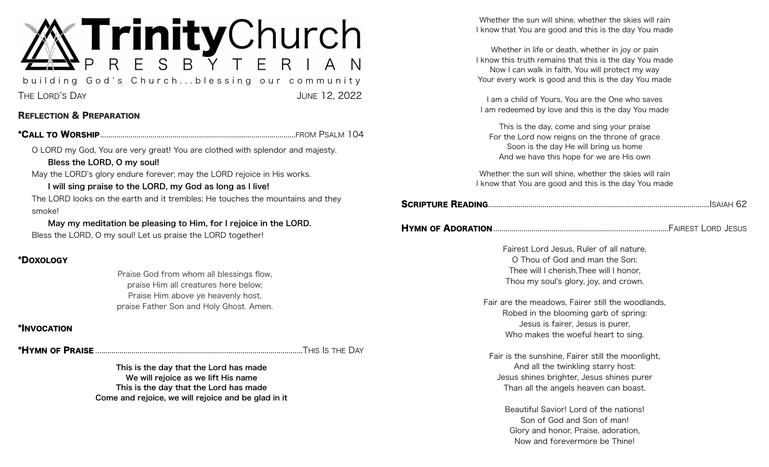### TrinityChurch R E  $S$

building God's Church...blessing our community THE LORD'S DAY **SALL ASSESSED ASSESSED A** JUNE 12, 2022

#### REFLECTION & PREPARATION

#### \*CALL TO WORSHIP.................................................................................................FROM PSALM 104

O LORD my God, You are very great! You are clothed with splendor and majesty. Bless the LORD, O my soul!

May the LORD's glory endure forever; may the LORD rejoice in His works.

I will sing praise to the LORD, my God as long as I live!

The LORD looks on the earth and it trembles; He touches the mountains and they smoke!

May my meditation be pleasing to Him, for I rejoice in the LORD. Bless the LORD, O my soul! Let us praise the LORD together!

#### \*DOXOLOGY

Praise God from whom all blessings flow, praise Him all creatures here below; Praise Him above ye heavenly host, praise Father Son and Holy Ghost. Amen.

\*INVOCATION

\*HYMN OF PRAISE T ....................................................................................................... HIS IS THE DAY

This is the day that the Lord has made We will rejoice as we lift His name This is the day that the Lord has made Come and rejoice, we will rejoice and be glad in it

Whether the sun will shine, whether the skies will rain I know that You are good and this is the day You made

Whether in life or death, whether in joy or pain I know this truth remains that this is the day You made Now I can walk in faith, You will protect my way Your every work is good and this is the day You made

I am a child of Yours, You are the One who saves I am redeemed by love and this is the day You made

This is the day, come and sing your praise For the Lord now reigns on the throne of grace Soon is the day He will bring us home And we have this hope for we are His own

Whether the sun will shine, whether the skies will rain I know that You are good and this is the day You made

|--|--|

Fairest Lord Jesus, Ruler of all nature, O Thou of God and man the Son: Thee will I cherish,Thee will I honor, Thou my soul's glory, joy, and crown.

Fair are the meadows, Fairer still the woodlands, Robed in the blooming garb of spring: Jesus is fairer, Jesus is purer, Who makes the woeful heart to sing.

Fair is the sunshine, Fairer still the moonlight, And all the twinkling starry host: Jesus shines brighter, Jesus shines purer Than all the angels heaven can boast.

Beautiful Savior! Lord of the nations! Son of God and Son of man! Glory and honor, Praise, adoration, Now and forevermore be Thine!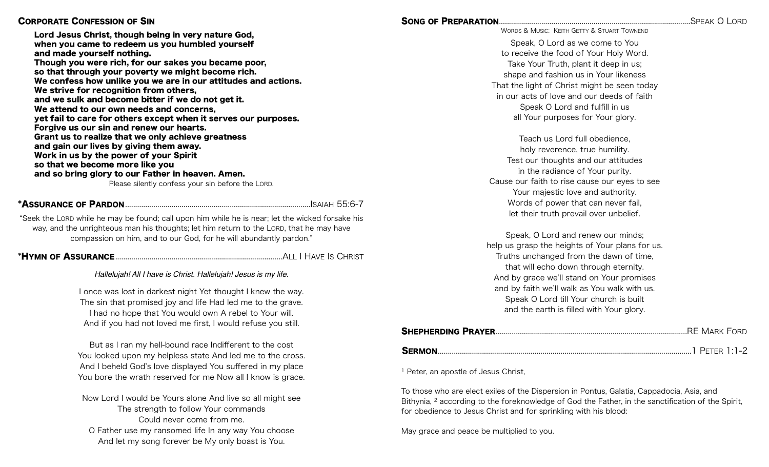#### CORPORATE CONFESSION OF SIN

Lord Jesus Christ, though being in very nature God, when you came to redeem us you humbled yourself and made yourself nothing. Though you were rich, for our sakes you became poor, so that through your poverty we might become rich. We confess how unlike you we are in our attitudes and actions. We strive for recognition from others, and we sulk and become bitter if we do not get it. We attend to our own needs and concerns, yet fail to care for others except when it serves our purposes. Forgive us our sin and renew our hearts. Grant us to realize that we only achieve greatness and gain our lives by giving them away. Work in us by the power of your Spirit so that we become more like you and so bring glory to our Father in heaven. Amen. Please silently confess your sin before the LORD.

#### \*ASSURANCE OF PARDON I ............................................................................................ SAIAH 55:6-7

"Seek the LORD while he may be found; call upon him while he is near; let the wicked forsake his way, and the unrighteous man his thoughts; let him return to the LORD, that he may have compassion on him, and to our God, for he will abundantly pardon."

#### \*HYMN OF ASSURANCE A ................................................................................... LL I HAVE IS CHRIST

#### *Hallelujah! All I have is Christ. Hallelujah! Jesus is my life.*

I once was lost in darkest night Yet thought I knew the way. The sin that promised joy and life Had led me to the grave. I had no hope that You would own A rebel to Your will. And if you had not loved me first, I would refuse you still.

But as I ran my hell-bound race Indifferent to the cost You looked upon my helpless state And led me to the cross. And I beheld God's love displayed You suffered in my place You bore the wrath reserved for me Now all I know is grace.

Now Lord I would be Yours alone And live so all might see The strength to follow Your commands Could never come from me. O Father use my ransomed life In any way You choose And let my song forever be My only boast is You.

#### SONG OF PREPARATION S ............................................................................................... PEAK O LORD

WORDS & MUSIC: KEITH GETTY & STUART TOWNEND Speak, O Lord as we come to You to receive the food of Your Holy Word. Take Your Truth, plant it deep in us; shape and fashion us in Your likeness That the light of Christ might be seen today in our acts of love and our deeds of faith Speak O Lord and fulfill in us all Your purposes for Your glory.

Teach us Lord full obedience, holy reverence, true humility. Test our thoughts and our attitudes in the radiance of Your purity. Cause our faith to rise cause our eyes to see Your majestic love and authority. Words of power that can never fail, let their truth prevail over unbelief.

Speak, O Lord and renew our minds; help us grasp the heights of Your plans for us. Truths unchanged from the dawn of time, that will echo down through eternity. And by grace we'll stand on Your promises and by faith we'll walk as You walk with us. Speak O Lord till Your church is built and the earth is filled with Your glory.

<sup>1</sup> Peter, an apostle of Jesus Christ,

To those who are elect exiles of the Dispersion in Pontus, Galatia, Cappadocia, Asia, and Bithynia, <sup>2</sup> according to the foreknowledge of God the Father, in the sanctification of the Spirit, for obedience to Jesus Christ and for sprinkling with his blood:

May grace and peace be multiplied to you.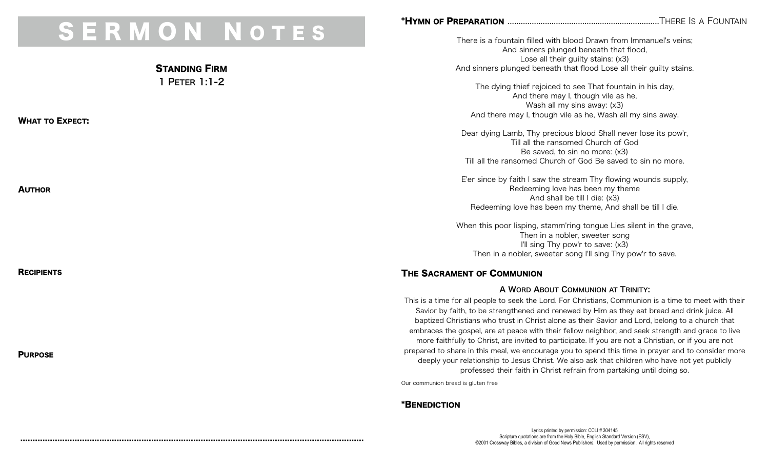## SERMON NOTES

#### STANDING FIRM 1 PETER 1:1-2

...........................................................................................................................................

\*HYMN OF PREPARATION T ..................................................................... HERE IS A FOUNTAIN

There is a fountain filled with blood Drawn from Immanuel's veins; And sinners plunged beneath that flood, Lose all their guilty stains: (x3) And sinners plunged beneath that flood Lose all their guilty stains.

The dying thief rejoiced to see That fountain in his day, And there may I, though vile as he, Wash all my sins away: (x3) And there may I, though vile as he, Wash all my sins away.

Dear dying Lamb, Thy precious blood Shall never lose its pow'r, Till all the ransomed Church of God Be saved, to sin no more: (x3) Till all the ransomed Church of God Be saved to sin no more.

E'er since by faith I saw the stream Thy flowing wounds supply, Redeeming love has been my theme And shall be till I die: (x3) Redeeming love has been my theme, And shall be till I die.

When this poor lisping, stamm'ring tongue Lies silent in the grave, Then in a nobler, sweeter song I'll sing Thy pow'r to save: (x3) Then in a nobler, sweeter song I'll sing Thy pow'r to save.

#### THE SACRAMENT OF COMMUNION

#### A WORD ABOUT COMMUNION AT TRINITY:

This is a time for all people to seek the Lord. For Christians, Communion is a time to meet with their Savior by faith, to be strengthened and renewed by Him as they eat bread and drink juice. All baptized Christians who trust in Christ alone as their Savior and Lord, belong to a church that embraces the gospel, are at peace with their fellow neighbor, and seek strength and grace to live more faithfully to Christ, are invited to participate. If you are not a Christian, or if you are not prepared to share in this meal, we encourage you to spend this time in prayer and to consider more deeply your relationship to Jesus Christ. We also ask that children who have not yet publicly professed their faith in Christ refrain from partaking until doing so.

Our communion bread is gluten free

#### \*BENEDICTION

Lyrics printed by permission: CCLI # 304145 Scripture quotations are from the Holy Bible, English Standard Version (ESV), ©2001 Crossway Bibles, a division of Good News Publishers. Used by permission. All rights reserved

#### AUTHOR

WHAT TO EXPECT:

**RECIPIENTS** 

#### **PURPOSE**